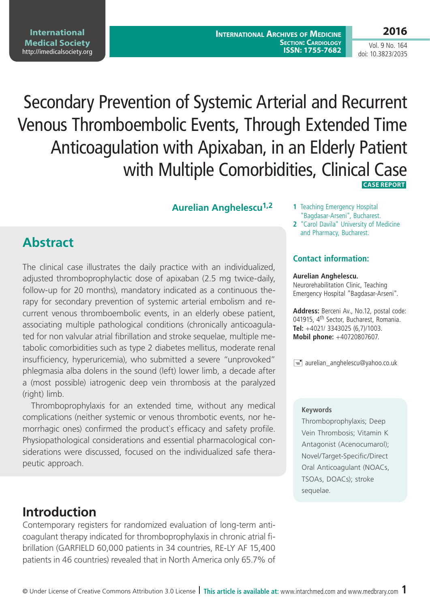# Secondary Prevention of Systemic Arterial and Recurrent Venous Thromboembolic Events, Through Extended Time Anticoagulation with Apixaban, in an Elderly Patient with Multiple Comorbidities, Clinical Case  **CASE REPORT**

### **Aurelian Anghelescu<sup>1,2</sup>** 1 Teaching Emergency Hospital

**Abstract**

The clinical case illustrates the daily practice with an individualized, adjusted thromboprophylactic dose of apixaban (2.5 mg twice-daily, follow-up for 20 months), mandatory indicated as a continuous therapy for secondary prevention of systemic arterial embolism and recurrent venous thromboembolic events, in an elderly obese patient, associating multiple pathological conditions (chronically anticoagulated for non valvular atrial fibrillation and stroke sequelae, multiple metabolic comorbidities such as type 2 diabetes mellitus, moderate renal insufficiency, hyperuricemia), who submitted a severe "unprovoked" phlegmasia alba dolens in the sound (left) lower limb, a decade after a (most possible) iatrogenic deep vein thrombosis at the paralyzed (right) limb.

Thromboprophylaxis for an extended time, without any medical complications (neither systemic or venous thrombotic events, nor hemorrhagic ones) confirmed the product`s efficacy and safety profile. Physiopathological considerations and essential pharmacological considerations were discussed, focused on the individualized safe therapeutic approach.

## **Introduction**

Contemporary registers for randomized evaluation of long-term anticoagulant therapy indicated for thromboprophylaxis in chronic atrial fibrillation (GARFIELD 60,000 patients in 34 countries, RE-LY AF 15,400 patients in 46 countries) revealed that in North America only 65.7% of

- "Bagdasar-Arseni", Bucharest.
- **2** "Carol Davila" University of Medicine and Pharmacy, Bucharest.

#### **Contact information:**

#### **Aurelian Anghelescu.**

Neurorehabilitation Clinic, Teaching Emergency Hospital "Bagdasar-Arseni".

**Address:** Berceni Av., No.12, postal code: 041915, 4<sup>th</sup> Sector, Bucharest, Romania. **Tel:** +4021/ 3343025 (6,7)/1003. **Mobil phone:** +40720807607.

 $\equiv$  aurelian\_anghelescu@yahoo.co.uk

#### **Keywords**

Thromboprophylaxis; Deep Vein Thrombosis; Vitamin K Antagonist (Acenocumarol); Novel/Target-Specific/Direct Oral Anticoagulant (NOACs, TSOAs, DOACs); stroke sequelae.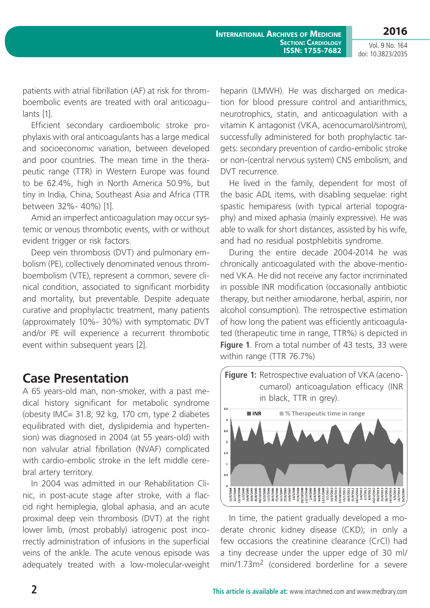**2016**

Vol. 9 No. 164 doi: 10.3823/2035

patients with atrial fibrillation (AF) at risk for thromboembolic events are treated with oral anticoagulants [1].

Efficient secondary cardioembolic stroke prophylaxis with oral anticoagulants has a large medical and socioeconomic variation, between developed and poor countries. The mean time in the therapeutic range (TTR) in Western Europe was found to be 62.4%, high in North America 50.9%, but tiny in India, China, Southeast Asia and Africa (TTR between 32%- 40%) [1].

Amid an imperfect anticoagulation may occur systemic or venous thrombotic events, with or without evident trigger or risk factors.

Deep vein thrombosis (DVT) and pulmonary embolism (PE), collectively denominated venous thromboembolism (VTE), represent a common, severe clinical condition, associated to significant morbidity and mortality, but preventable. Despite adequate curative and prophylactic treatment, many patients (approximately 10%- 30%) with symptomatic DVT and/or PE will experience a recurrent thrombotic event within subsequent years [2].

## **Case Presentation**

A 65 years-old man, non-smoker, with a past medical history significant for metabolic syndrome (obesity IMC= 31.8; 92 kg, 170 cm, type 2 diabetes equilibrated with diet, dyslipidemia and hypertension) was diagnosed in 2004 (at 55 years-old) with non valvular atrial fibrillation (NVAF) complicated with cardio-embolic stroke in the left middle cerebral artery territory.

In 2004 was admitted in our Rehabilitation Clinic, in post-acute stage after stroke, with a flaccid right hemiplegia, global aphasia, and an acute proximal deep vein thrombosis (DVT) at the right lower limb, (most probably) iatrogenic post incorrectly administration of infusions in the superficial veins of the ankle. The acute venous episode was adequately treated with a low-molecular-weight

heparin (LMWH). He was discharged on medication for blood pressure control and antiarithmics, neurotrophics, statin, and anticoagulation with a vitamin K antagonist (VKA, acenocumarol/sintrom), successfully administered for both prophylactic targets: secondary prevention of cardio-embolic stroke or non-(central nervous system) CNS embolism, and DVT recurrence.

He lived in the family, dependent for most of the basic ADL items, with disabling sequelae: right spastic hemiparesis (with typical arterial topography) and mixed aphasia (mainly expressive). He was able to walk for short distances, assisted by his wife, and had no residual postphlebitis syndrome.

During the entire decade 2004-2014 he was chronically anticoagulated with the above-mentioned VKA. He did not receive any factor incriminated in possible INR modification (occasionally antibiotic therapy, but neither amiodarone, herbal, aspirin, nor alcohol consumption). The retrospective estimation of how long the patient was efficiently anticoagulated (therapeutic time in range, TTR%) is depicted in **Figure 1**. From a total number of 43 tests, 33 were within range (TTR 76.7%)



In time, the patient gradually developed a moderate chronic kidney disease (CKD); in only a few occasions the creatinine clearance (CrCl) had a tiny decrease under the upper edge of 30 ml/ min/1.73m2 (considered borderline for a severe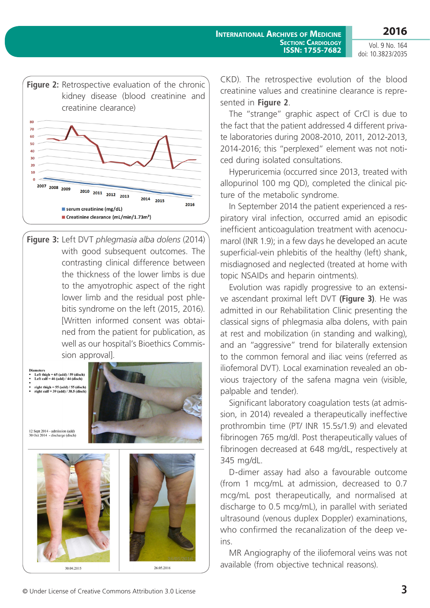**2016**



**Figure 3:** Left DVT *phlegmasia alba dolens* (2014) with good subsequent outcomes. The contrasting clinical difference between the thickness of the lower limbs is due to the amyotrophic aspect of the right lower limb and the residual post phlebitis syndrome on the left (2015, 2016). [Written informed consent was obtained from the patient for publication, as well as our hospital's Bioethics Commission approval].

Left thigh =  $65$  (add) /  $59$  (disch)<br>Left calf =  $46$  (add) /  $44$  (disch) right thigh = 55 (add) / 55 (disch)<br>right calf = 39 (add) / 38.5 (disch)



12 Sept 2014 - admission (add) 30 Oct 2014 - discharge (disch)



CKD). The retrospective evolution of the blood creatinine values and creatinine clearance is represented in **Figure 2**.

The "strange" graphic aspect of CrCl is due to the fact that the patient addressed 4 different private laboratories during 2008-2010, 2011, 2012-2013, 2014-2016; this "perplexed" element was not noticed during isolated consultations.

Hyperuricemia (occurred since 2013, treated with allopurinol 100 mg QD), completed the clinical picture of the metabolic syndrome.

In September 2014 the patient experienced a respiratory viral infection, occurred amid an episodic inefficient anticoagulation treatment with acenocumarol (INR 1.9); in a few days he developed an acute superficial-vein phlebitis of the healthy (left) shank, misdiagnosed and neglected (treated at home with topic NSAIDs and heparin ointments).

Evolution was rapidly progressive to an extensive ascendant proximal left DVT **(Figure 3)**. He was admitted in our Rehabilitation Clinic presenting the classical signs of phlegmasia alba dolens, with pain at rest and mobilization (in standing and walking), and an "aggressive" trend for bilaterally extension to the common femoral and iliac veins (referred as iliofemoral DVT). Local examination revealed an obvious trajectory of the safena magna vein (visible, palpable and tender).

Significant laboratory coagulation tests (at admission, in 2014) revealed a therapeutically ineffective prothrombin time (PT/ INR 15.5s/1.9) and elevated fibrinogen 765 mg/dl. Post therapeutically values of fibrinogen decreased at 648 mg/dL, respectively at 345 mg/dL.

D-dimer assay had also a favourable outcome (from 1 mcg/mL at admission, decreased to 0.7 mcg/mL post therapeutically, and normalised at discharge to 0.5 mcg/mL), in parallel with seriated ultrasound (venous duplex Doppler) examinations, who confirmed the recanalization of the deep veins.

MR Angiography of the iliofemoral veins was not available (from objective technical reasons).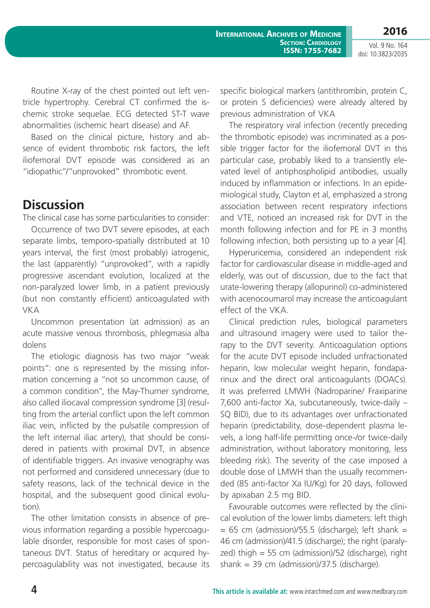**2016**

Vol. 9 No. 164 doi: 10.3823/2035

Routine X-ray of the chest pointed out left ventricle hypertrophy. Cerebral CT confirmed the ischemic stroke sequelae. ECG detected ST-T wave abnormalities (ischemic heart disease) and AF.

Based on the clinical picture, history and absence of evident thrombotic risk factors, the left iliofemoral DVT episode was considered as an "idiopathic"/"unprovoked" thrombotic event.

## **Discussion**

The clinical case has some particularities to consider:

Occurrence of two DVT severe episodes, at each separate limbs, temporo-spatially distributed at 10 years interval, the first (most probably) iatrogenic, the last (apparently) "unprovoked", with a rapidly progressive ascendant evolution, localized at the non-paralyzed lower limb, in a patient previously (but non constantly efficient) anticoagulated with VKA

Uncommon presentation (at admission) as an acute massive venous thrombosis, phlegmasia alba dolens

The etiologic diagnosis has two major "weak points": one is represented by the missing information concerning a "not so uncommon cause, of a common condition", the May-Thurner syndrome, also called iliocaval compression syndrome [3] (resulting from the arterial conflict upon the left common iliac vein, inflicted by the pulsatile compression of the left internal iliac artery), that should be considered in patients with proximal DVT, in absence of identifiable triggers. An invasive venography was not performed and considered unnecessary (due to safety reasons, lack of the technical device in the hospital, and the subsequent good clinical evolution).

The other limitation consists in absence of previous information regarding a possible hypercoagulable disorder, responsible for most cases of spontaneous DVT. Status of hereditary or acquired hypercoagulability was not investigated, because its specific biological markers (antithrombin, protein C, or protein S deficiencies) were already altered by previous administration of VKA

The respiratory viral infection (recently preceding the thrombotic episode) was incriminated as a possible trigger factor for the iliofemoral DVT in this particular case, probably liked to a transiently elevated level of antiphospholipid antibodies, usually induced by inflammation or infections. In an epidemiological study, Clayton et al, emphasized a strong association between recent respiratory infections and VTE, noticed an increased risk for DVT in the month following infection and for PE in 3 months following infection, both persisting up to a year [4].

Hyperuricemia, considered an independent risk factor for cardiovascular disease in middle-aged and elderly, was out of discussion, due to the fact that urate-lowering therapy (allopurinol) co-administered with acenocoumarol may increase the anticoagulant effect of the VKA.

Clinical prediction rules, biological parameters and ultrasound imagery were used to tailor therapy to the DVT severity. Anticoagulation options for the acute DVT episode included unfractionated heparin, low molecular weight heparin, fondaparinux and the direct oral anticoagulants (DOACs). It was preferred LMWH (Nadroparine/ Fraxiparine 7,600 anti-factor Xa, subcutaneously, twice-daily – SQ BID), due to its advantages over unfractionated heparin (predictability, dose-dependent plasma levels, a long half-life permitting once-/or twice-daily administration, without laboratory monitoring, less bleeding risk). The severity of the case imposed a double dose of LMWH than the usually recommended (85 anti-factor Xa IU/Kg) for 20 days, followed by apixaban 2.5 mg BID.

Favourable outcomes were reflected by the clinical evolution of the lower limbs diameters: left thigh  $= 65$  cm (admission)/55.5 (discharge); left shank  $=$ 46 cm (admission)/41.5 (discharge); the right (paralyzed) thigh = 55 cm (admission)/52 (discharge), right shank = 39 cm (admission)/37.5 (discharge).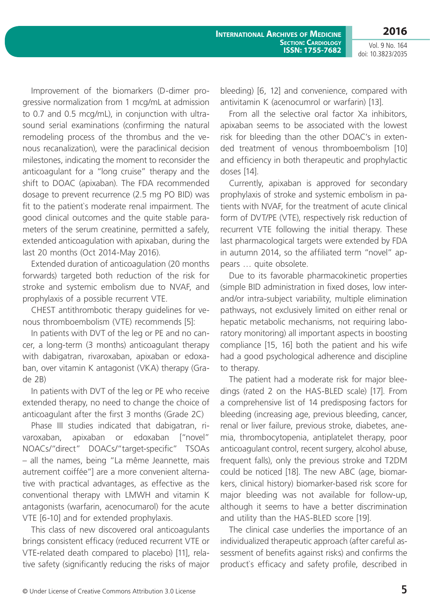Improvement of the biomarkers (D-dimer progressive normalization from 1 mcg/mL at admission to 0.7 and 0.5 mcg/mL), in conjunction with ultrasound serial examinations (confirming the natural remodeling process of the thrombus and the venous recanalization), were the paraclinical decision milestones, indicating the moment to reconsider the anticoagulant for a "long cruise" therapy and the shift to DOAC (apixaban). The FDA recommended dosage to prevent recurrence (2.5 mg PO BID) was fit to the patient`s moderate renal impairment. The good clinical outcomes and the quite stable parameters of the serum creatinine, permitted a safely, extended anticoagulation with apixaban, during the last 20 months (Oct 2014-May 2016).

Extended duration of anticoagulation (20 months forwards) targeted both reduction of the risk for stroke and systemic embolism due to NVAF, and prophylaxis of a possible recurrent VTE.

CHEST antithrombotic therapy guidelines for venous thromboembolism (VTE) recommends [5]:

In patients with DVT of the leg or PE and no cancer, a long-term (3 months) anticoagulant therapy with dabigatran, rivaroxaban, apixaban or edoxaban, over vitamin K antagonist (VKA) therapy (Grade 2B)

In patients with DVT of the leg or PE who receive extended therapy, no need to change the choice of anticoagulant after the first 3 months (Grade 2C)

Phase III studies indicated that dabigatran, rivaroxaban, apixaban or edoxaban ["novel" NOACs/"direct" DOACs/"target-specific" TSOAs – all the names, being "La même Jeannette, mais autrement coiffée"] are a more convenient alternative with practical advantages, as effective as the conventional therapy with LMWH and vitamin K antagonists (warfarin, acenocumarol) for the acute VTE [6-10] and for extended prophylaxis.

This class of new discovered oral anticoagulants brings consistent efficacy (reduced recurrent VTE or VTE-related death compared to placebo) [11], relative safety (significantly reducing the risks of major bleeding) [6, 12] and convenience, compared with antivitamin K (acenocumrol or warfarin) [13].

From all the selective oral factor Xa inhibitors, apixaban seems to be associated with the lowest risk for bleeding than the other DOAC's in extended treatment of venous thromboembolism [10] and efficiency in both therapeutic and prophylactic doses [14].

Currently, apixaban is approved for secondary prophylaxis of stroke and systemic embolism in patients with NVAF, for the treatment of acute clinical form of DVT/PE (VTE), respectively risk reduction of recurrent VTE following the initial therapy. These last pharmacological targets were extended by FDA in autumn 2014, so the affiliated term "novel" appears … quite obsolete.

Due to its favorable pharmacokinetic properties (simple BID administration in fixed doses, low interand/or intra-subject variability, multiple elimination pathways, not exclusively limited on either renal or hepatic metabolic mechanisms, not requiring laboratory monitoring) all important aspects in boosting compliance [15, 16] both the patient and his wife had a good psychological adherence and discipline to therapy.

The patient had a moderate risk for major bleedings (rated 2 on the HAS-BLED scale) [17]. From a comprehensive list of 14 predisposing factors for bleeding (increasing age, previous bleeding, cancer, renal or liver failure, previous stroke, diabetes, anemia, thrombocytopenia, antiplatelet therapy, poor anticoagulant control, recent surgery, alcohol abuse, frequent falls), only the previous stroke and T2DM could be noticed [18]. The new ABC (age, biomarkers, clinical history) biomarker-based risk score for major bleeding was not available for follow-up, although it seems to have a better discrimination and utility than the HAS-BLED score [19].

The clinical case underlies the importance of an individualized therapeutic approach (after careful assessment of benefits against risks) and confirms the product`s efficacy and safety profile, described in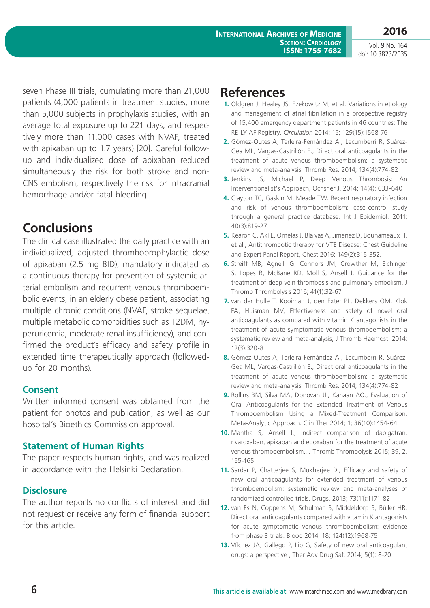**2016**

seven Phase III trials, cumulating more than 21,000 patients (4,000 patients in treatment studies, more than 5,000 subjects in prophylaxis studies, with an average total exposure up to 221 days, and respectively more than 11,000 cases with NVAF, treated with apixaban up to 1.7 years) [20]. Careful followup and individualized dose of apixaban reduced simultaneously the risk for both stroke and non-CNS embolism, respectively the risk for intracranial hemorrhage and/or fatal bleeding.

## **Conclusions**

The clinical case illustrated the daily practice with an individualized, adjusted thromboprophylactic dose of apixaban (2.5 mg BID), mandatory indicated as a continuous therapy for prevention of systemic arterial embolism and recurrent venous thromboembolic events, in an elderly obese patient, associating multiple chronic conditions (NVAF, stroke sequelae, multiple metabolic comorbidities such as T2DM, hyperuricemia, moderate renal insufficiency), and confirmed the product`s efficacy and safety profile in extended time therapeutically approach (followedup for 20 months).

### **Consent**

Written informed consent was obtained from the patient for photos and publication, as well as our hospital's Bioethics Commission approval.

### **Statement of Human Rights**

The paper respects human rights, and was realized in accordance with the Helsinki Declaration.

### **Disclosure**

The author reports no conflicts of interest and did not request or receive any form of financial support for this article.

## **References**

- **1.** Oldgren J, Healey JS, Ezekowitz M, et al. Variations in etiology and management of atrial fibrillation in a prospective registry of 15,400 emergency department patients in 46 countries: The RE-LY AF Registry. *Circulation* 2014; 15; 129(15):1568-76
- **2.** Gómez-Outes A, Terleira-Fernández AI, Lecumberri R, Suárez-Gea ML, Vargas-Castrillón E., Direct oral anticoagulants in the treatment of acute venous thromboembolism: a systematic review and meta-analysis. Thromb Res. 2014; 134(4):774-82
- **3.** Jenkins JS, Michael P, Deep Venous Thrombosis: An Interventionalist's Approach, Ochsner J. 2014; 14(4): 633-640
- **4.** Clayton TC, Gaskin M, Meade TW. Recent respiratory infection and risk of venous thromboembolism: case-control study through a general practice database. Int J Epidemiol. 2011; 40(3):819-27
- **5.** Kearon C, Akl E, Ornelas J, Blaivas A, Jimenez D, Bounameaux H, et al., Antithrombotic therapy for VTE Disease: Chest Guideline and Expert Panel Report, Chest 2016; 149(2):315-352.
- **6.** Streiff MB, Agnelli G, Connors JM, Crowther M, Eichinger S, Lopes R, McBane RD, Moll S, Ansell J. Guidance for the treatment of deep vein thrombosis and pulmonary embolism. J Thromb Thrombolysis 2016; 41(1):32-67
- **7.** van der Hulle T, Kooiman J, den Exter PL, Dekkers OM, Klok FA, Huisman MV, Effectiveness and safety of novel oral anticoagulants as compared with vitamin K antagonists in the treatment of acute symptomatic venous thromboembolism: a systematic review and meta-analysis, J Thromb Haemost. 2014; 12(3):320-8
- **8.** Gómez-Outes A, Terleira-Fernández AI, Lecumberri R, Suárez-Gea ML, Vargas-Castrillón E., Direct oral anticoagulants in the treatment of acute venous thromboembolism: a systematic review and meta-analysis. Thromb Res. 2014; 134(4):774-82
- **9.** Rollins BM, Silva MA, Donovan JL, Kanaan AO., Evaluation of Oral Anticoagulants for the Extended Treatment of Venous Thromboembolism Using a Mixed-Treatment Comparison, Meta-Analytic Approach. Clin Ther 2014; 1; 36(10):1454-64
- **10.** Mantha S, Ansell J., Indirect comparison of dabigatran, rivaroxaban, apixaban and edoxaban for the treatment of acute venous thromboembolism., J Thromb Thrombolysis 2015; 39, 2, 155-165
- **11.** Sardar P, Chatterjee S, Mukherjee D., Efficacy and safety of new oral anticoagulants for extended treatment of venous thromboembolism: systematic review and meta-analyses of randomized controlled trials. Drugs. 2013; 73(11):1171-82
- **12.** van Es N, Coppens M, Schulman S, Middeldorp S, Büller HR. Direct oral anticoagulants compared with vitamin K antagonists for acute symptomatic venous thromboembolism: evidence from phase 3 trials. Blood 2014; 18; 124(12):1968-75
- **13.** Vílchez JA, Gallego P, Lip G, Safety of new oral anticoagulant drugs: a perspective , Ther Adv Drug Saf. 2014; 5(1): 8-20